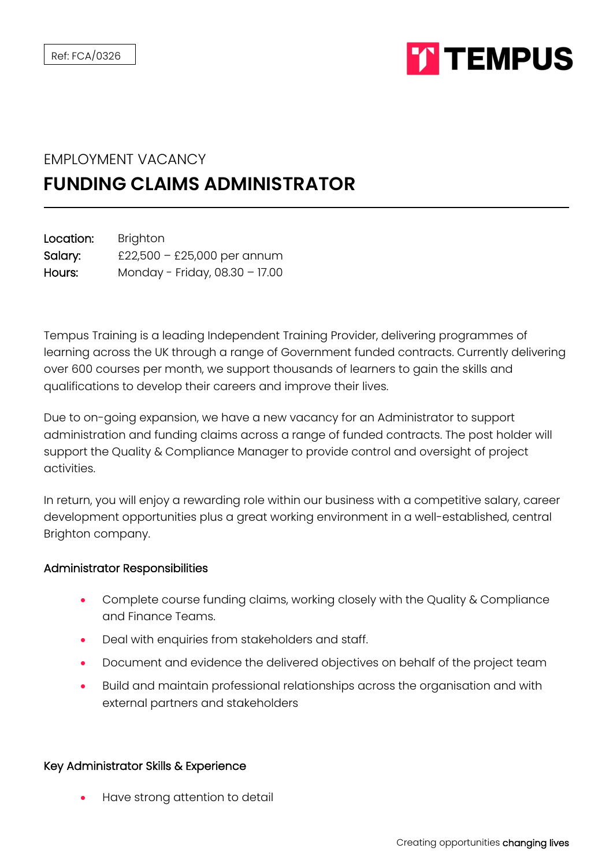

## EMPLOYMENT VACANCY

## **FUNDING CLAIMS ADMINISTRATOR**

| Location: | <b>Brighton</b>                |
|-----------|--------------------------------|
| Salary:   | £22,500 - £25,000 per annum    |
| Hours:    | Monday - Friday, 08.30 - 17.00 |

Tempus Training is a leading Independent Training Provider, delivering programmes of learning across the UK through a range of Government funded contracts. Currently delivering over 600 courses per month, we support thousands of learners to gain the skills and qualifications to develop their careers and improve their lives.

Due to on-going expansion, we have a new vacancy for an Administrator to support administration and funding claims across a range of funded contracts. The post holder will support the Quality & Compliance Manager to provide control and oversight of project activities.

In return, you will enjoy a rewarding role within our business with a competitive salary, career development opportunities plus a great working environment in a well-established, central Brighton company.

## Administrator Responsibilities

- Complete course funding claims, working closely with the Quality & Compliance and Finance Teams.
- Deal with enquiries from stakeholders and staff.
- Document and evidence the delivered objectives on behalf of the project team
- Build and maintain professional relationships across the organisation and with external partners and stakeholders

## Key Administrator Skills & Experience

• Have strong attention to detail